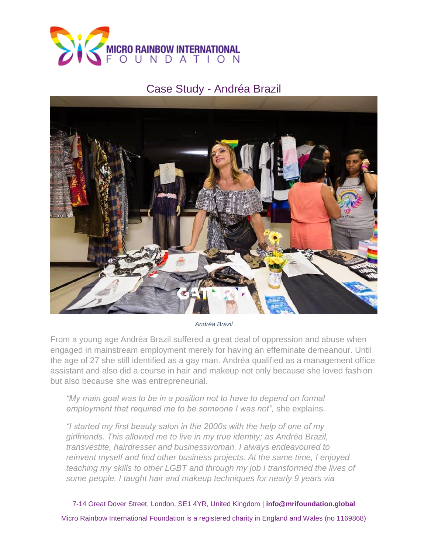

## Case Study - Andréa Brazil



*Andréa Brazil*

From a young age Andréa Brazil suffered a great deal of oppression and abuse when engaged in mainstream employment merely for having an effeminate demeanour. Until the age of 27 she still identified as a gay man. Andréa qualified as a management office assistant and also did a course in hair and makeup not only because she loved fashion but also because she was entrepreneurial.

*"My main goal was to be in a position not to have to depend on formal employment that required me to be someone I was not",* she explains.

*"I started my first beauty salon in the 2000s with the help of one of my girlfriends. This allowed me to live in my true identity; as Andréa Brazil, transvestite, hairdresser and businesswoman. I always endeavoured to reinvent myself and find other business projects. At the same time, I enjoyed teaching my skills to other LGBT and through my job I transformed the lives of some people. I taught hair and makeup techniques for nearly 9 years via* 

7-14 Great Dover Street, London, SE1 4YR, United Kingdom | **info@mrifoundation.global** Micro Rainbow International Foundation is a registered charity in England and Wales (no 1169868)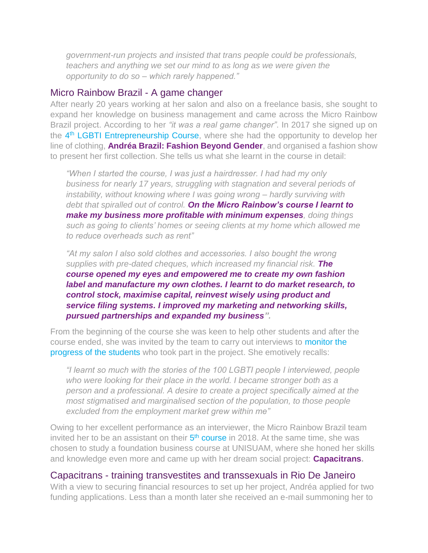*government-run projects and insisted that trans people could be professionals, teachers and anything we set our mind to as long as we were given the opportunity to do so – which rarely happened."*

## Micro Rainbow Brazil - A game changer

After nearly 20 years working at her salon and also on a freelance basis, she sought to expand her knowledge on business management and came across the Micro Rainbow Brazil project. According to her *"it was a real game changer"*. In 2017 she signed up on the 4<sup>th</sup> [LGBTI Entrepreneurship Course,](https://mrifoundation.global/mri-trains-31-new-lgbt-entrepreneurs-brazil/) where she had the opportunity to develop her line of clothing, **Andréa Brazil: Fashion Beyond Gender**, and organised a fashion show to present her first collection. She tells us what she learnt in the course in detail:

*"When I started the course, I was just a hairdresser. I had had my only business for nearly 17 years, struggling with stagnation and several periods of instability, without knowing where I was going wrong – hardly surviving with debt that spiralled out of control. On the Micro Rainbow's course I learnt to make my business more profitable with minimum expenses, doing things such as going to clients' homes or seeing clients at my home which allowed me to reduce overheads such as rent"*

*"At my salon I also sold clothes and accessories. I also bought the wrong supplies with pre-dated cheques, which increased my financial risk. The course opened my eyes and empowered me to create my own fashion label and manufacture my own clothes. I learnt to do market research, to control stock, maximise capital, reinvest wisely using product and service filing systems. I improved my marketing and networking skills, pursued partnerships and expanded my business".*

From the beginning of the course she was keen to help other students and after the course ended, she was invited by the team to carry out interviews to [monitor the](https://mrifoundation.global/mri-brazil-eyes-trans-activist/)  [progress of the students](https://mrifoundation.global/mri-brazil-eyes-trans-activist/) who took part in the project. She emotively recalls:

*"I learnt so much with the stories of the 100 LGBTI people I interviewed, people*  who were looking for their place in the world. I became stronger both as a *person and a professional. A desire to create a project specifically aimed at the most stigmatised and marginalised section of the population, to those people excluded from the employment market grew within me"*

Owing to her excellent performance as an interviewer, the Micro Rainbow Brazil team invited her to be an assistant on their 5<sup>th</sup> [course](https://mrifoundation.global/5th-small-business-course-for-low-income-lgbt-in-rio-de-janeiro/) in 2018. At the same time, she was chosen to study a foundation business course at UNISUAM, where she honed her skills and knowledge even more and came up with her dream social project: **Capacitrans.**

## Capacitrans - training transvestites and transsexuals in Rio De Janeiro

With a view to securing financial resources to set up her project, Andréa applied for two funding applications. Less than a month later she received an e-mail summoning her to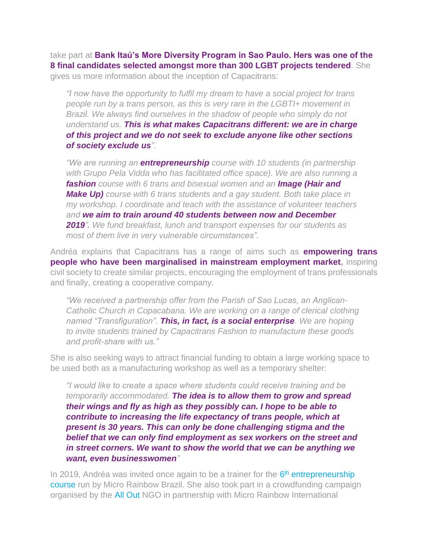take part at **Bank Itaú's More Diversity Program in Sao Paulo. Hers was one of the 8 final candidates selected amongst more than 300 LGBT projects tendered**. She gives us more information about the inception of Capacitrans:

*"I now have the opportunity to fulfil my dream to have a social project for trans people run by a trans person, as this is very rare in the LGBTI+ movement in Brazil. We always find ourselves in the shadow of people who simply do not understand us. This is what makes Capacitrans different: we are in charge of this project and we do not seek to exclude anyone like other sections of society exclude us".*

*"We are running an entrepreneurship course with 10 students (in partnership with Grupo Pela Vidda who has facilitated office space). We are also running a fashion course with 6 trans and bisexual women and an Image (Hair and Make Up) course with 6 trans students and a gay student. Both take place in my workshop. I coordinate and teach with the assistance of volunteer teachers and we aim to train around 40 students between now and December 2019". We fund breakfast, lunch and transport expenses for our students as most of them live in very vulnerable circumstances".*

Andréa explains that Capacitrans has a range of aims such as **empowering trans people who have been marginalised in mainstream employment market,** inspiring civil society to create similar projects, encouraging the employment of trans professionals and finally, creating a cooperative company.

*"We received a partnership offer from the Parish of Sao Lucas, an Anglican-Catholic Church in Copacabana. We are working on a range of clerical clothing named "Transfiguration". This, in fact, is a social enterprise. We are hoping to invite students trained by Capacitrans Fashion to manufacture these goods and profit-share with us."*

She is also seeking ways to attract financial funding to obtain a large working space to be used both as a manufacturing workshop as well as a temporary shelter:

*"I would like to create a space where students could receive training and be temporarily accommodated. The idea is to allow them to grow and spread their wings and fly as high as they possibly can. I hope to be able to contribute to increasing the life expectancy of trans people, which at present is 30 years. This can only be done challenging stigma and the belief that we can only find employment as sex workers on the street and in street corners. We want to show the world that we can be anything we want, even businesswomen"*

In 2019, Andréa was invited once again to be a trainer for the 6<sup>th</sup> entrepreneurship [course](https://mrifoundation.global/6-turma-de-empreendedorismo-lgbti-no-rio-de-janeiro/) run by Micro Rainbow Brazil. She also took part in a crowdfunding campaign organised by the [All Out](https://www.negocioslgbt.alloutbrasil.org/) NGO in partnership with Micro Rainbow International